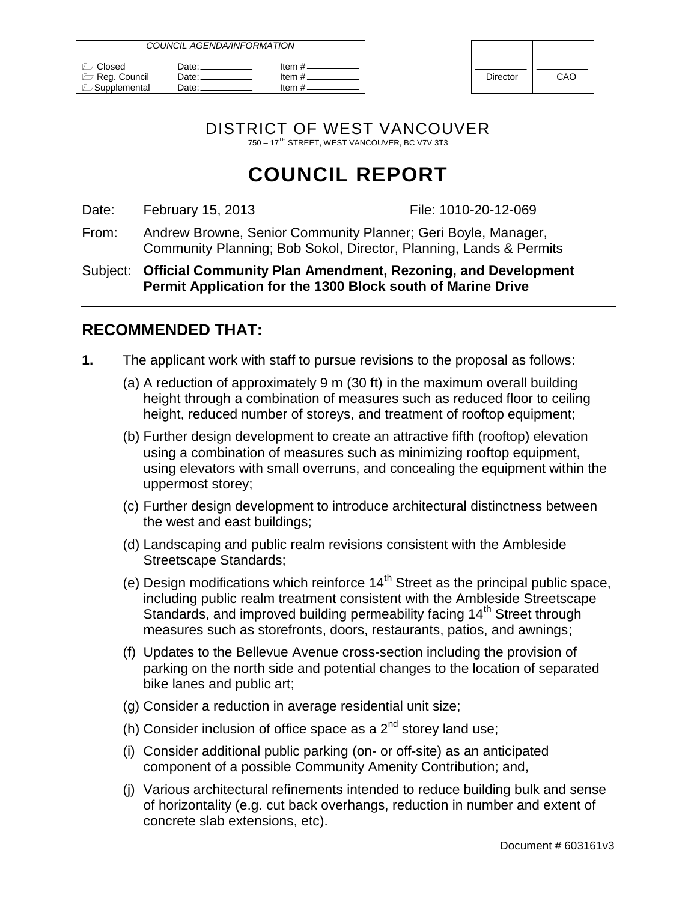| <i>COUNCIL AGENDA/INFORMATION</i>               |                          |                              |          |     |
|-------------------------------------------------|--------------------------|------------------------------|----------|-----|
| Closed<br>Reg. Council<br><b>C</b> Supplemental | Date:⊥<br>Date:<br>⊃ate∴ | ltem #.<br>ltem #<br>ltem #. | Director | CAO |

| <b>Director</b> | CAO |  |
|-----------------|-----|--|

DISTRICT OF WEST VANCOUVER 750 – 17TH STREET, WEST VANCOUVER, BC V7V 3T3

# **COUNCIL REPORT**

Date: February 15, 2013 **File: 1010-20-12-069** 

From: Andrew Browne, Senior Community Planner; Geri Boyle, Manager, Community Planning; Bob Sokol, Director, Planning, Lands & Permits

Subject: **Official Community Plan Amendment, Rezoning, and Development Permit Application for the 1300 Block south of Marine Drive**

### **RECOMMENDED THAT:**

- **1.** The applicant work with staff to pursue revisions to the proposal as follows:
	- (a) A reduction of approximately 9 m (30 ft) in the maximum overall building height through a combination of measures such as reduced floor to ceiling height, reduced number of storeys, and treatment of rooftop equipment;
	- (b) Further design development to create an attractive fifth (rooftop) elevation using a combination of measures such as minimizing rooftop equipment, using elevators with small overruns, and concealing the equipment within the uppermost storey;
	- (c) Further design development to introduce architectural distinctness between the west and east buildings;
	- (d) Landscaping and public realm revisions consistent with the Ambleside Streetscape Standards;
	- (e) Design modifications which reinforce  $14<sup>th</sup>$  Street as the principal public space, including public realm treatment consistent with the Ambleside Streetscape Standards, and improved building permeability facing 14<sup>th</sup> Street through measures such as storefronts, doors, restaurants, patios, and awnings;
	- (f) Updates to the Bellevue Avenue cross-section including the provision of parking on the north side and potential changes to the location of separated bike lanes and public art;
	- (g) Consider a reduction in average residential unit size;
	- (h) Consider inclusion of office space as a  $2^{nd}$  storey land use;
	- (i) Consider additional public parking (on- or off-site) as an anticipated component of a possible Community Amenity Contribution; and,
	- (j) Various architectural refinements intended to reduce building bulk and sense of horizontality (e.g. cut back overhangs, reduction in number and extent of concrete slab extensions, etc).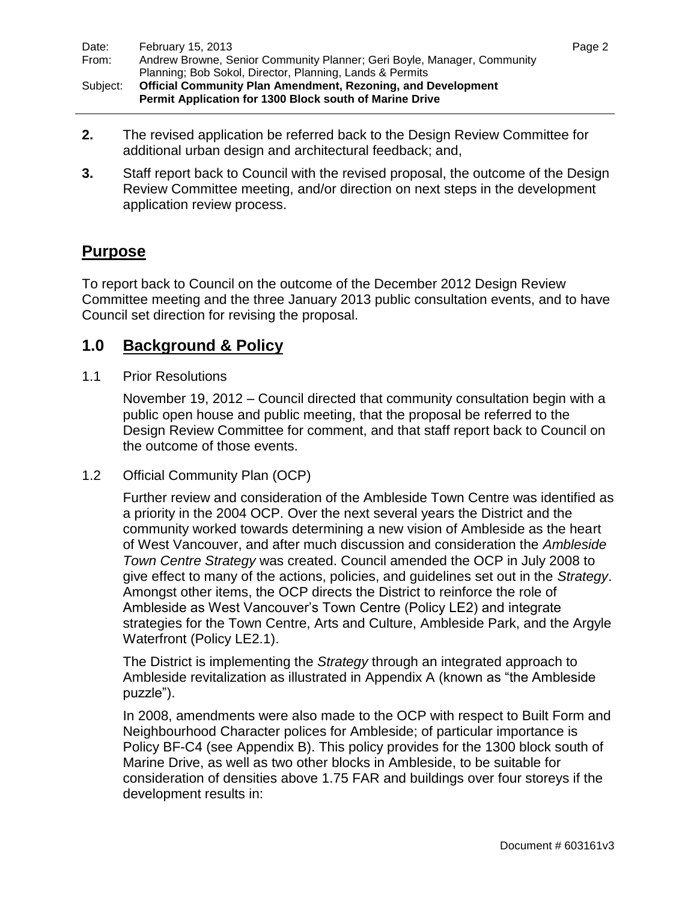| Date:    | February 15, 2013                                                       | Page 2 |
|----------|-------------------------------------------------------------------------|--------|
| From:    | Andrew Browne, Senior Community Planner; Geri Boyle, Manager, Community |        |
|          | Planning; Bob Sokol, Director, Planning, Lands & Permits                |        |
| Subject: | <b>Official Community Plan Amendment, Rezoning, and Development</b>     |        |
|          | <b>Permit Application for 1300 Block south of Marine Drive</b>          |        |

- **2.** The revised application be referred back to the Design Review Committee for additional urban design and architectural feedback; and,
- **3.** Staff report back to Council with the revised proposal, the outcome of the Design Review Committee meeting, and/or direction on next steps in the development application review process.

### **Purpose**

To report back to Council on the outcome of the December 2012 Design Review Committee meeting and the three January 2013 public consultation events, and to have Council set direction for revising the proposal.

### **1.0 Background & Policy**

#### 1.1 Prior Resolutions

November 19, 2012 – Council directed that community consultation begin with a public open house and public meeting, that the proposal be referred to the Design Review Committee for comment, and that staff report back to Council on the outcome of those events.

#### 1.2 Official Community Plan (OCP)

Further review and consideration of the Ambleside Town Centre was identified as a priority in the 2004 OCP. Over the next several years the District and the community worked towards determining a new vision of Ambleside as the heart of West Vancouver, and after much discussion and consideration the *Ambleside Town Centre Strategy* was created. Council amended the OCP in July 2008 to give effect to many of the actions, policies, and guidelines set out in the *Strategy*. Amongst other items, the OCP directs the District to reinforce the role of Ambleside as West Vancouver"s Town Centre (Policy LE2) and integrate strategies for the Town Centre, Arts and Culture, Ambleside Park, and the Argyle Waterfront (Policy LE2.1).

The District is implementing the *Strategy* through an integrated approach to Ambleside revitalization as illustrated in Appendix A (known as "the Ambleside puzzle").

In 2008, amendments were also made to the OCP with respect to Built Form and Neighbourhood Character polices for Ambleside; of particular importance is Policy BF-C4 (see Appendix B). This policy provides for the 1300 block south of Marine Drive, as well as two other blocks in Ambleside, to be suitable for consideration of densities above 1.75 FAR and buildings over four storeys if the development results in: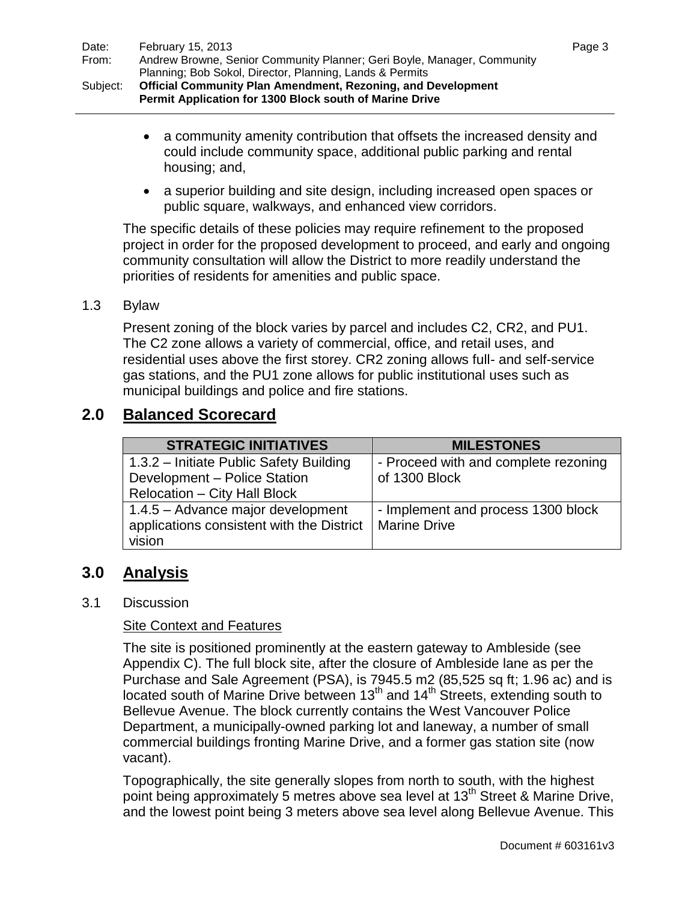- a community amenity contribution that offsets the increased density and could include community space, additional public parking and rental housing; and,
- a superior building and site design, including increased open spaces or public square, walkways, and enhanced view corridors.

The specific details of these policies may require refinement to the proposed project in order for the proposed development to proceed, and early and ongoing community consultation will allow the District to more readily understand the priorities of residents for amenities and public space.

#### 1.3 Bylaw

Present zoning of the block varies by parcel and includes C2, CR2, and PU1. The C2 zone allows a variety of commercial, office, and retail uses, and residential uses above the first storey. CR2 zoning allows full- and self-service gas stations, and the PU1 zone allows for public institutional uses such as municipal buildings and police and fire stations.

## **2.0 Balanced Scorecard**

| <b>STRATEGIC INITIATIVES</b>              | <b>MILESTONES</b>                    |
|-------------------------------------------|--------------------------------------|
| 1.3.2 - Initiate Public Safety Building   | - Proceed with and complete rezoning |
| Development - Police Station              | of 1300 Block                        |
| <b>Relocation - City Hall Block</b>       |                                      |
| 1.4.5 - Advance major development         | - Implement and process 1300 block   |
| applications consistent with the District | Marine Drive                         |
| vision                                    |                                      |

## **3.0 Analysis**

#### 3.1 Discussion

#### Site Context and Features

The site is positioned prominently at the eastern gateway to Ambleside (see Appendix C). The full block site, after the closure of Ambleside lane as per the Purchase and Sale Agreement (PSA), is 7945.5 m2 (85,525 sq ft; 1.96 ac) and is located south of Marine Drive between  $13<sup>th</sup>$  and  $14<sup>th</sup>$  Streets, extending south to Bellevue Avenue. The block currently contains the West Vancouver Police Department, a municipally-owned parking lot and laneway, a number of small commercial buildings fronting Marine Drive, and a former gas station site (now vacant).

Topographically, the site generally slopes from north to south, with the highest point being approximately 5 metres above sea level at 13<sup>th</sup> Street & Marine Drive, and the lowest point being 3 meters above sea level along Bellevue Avenue. This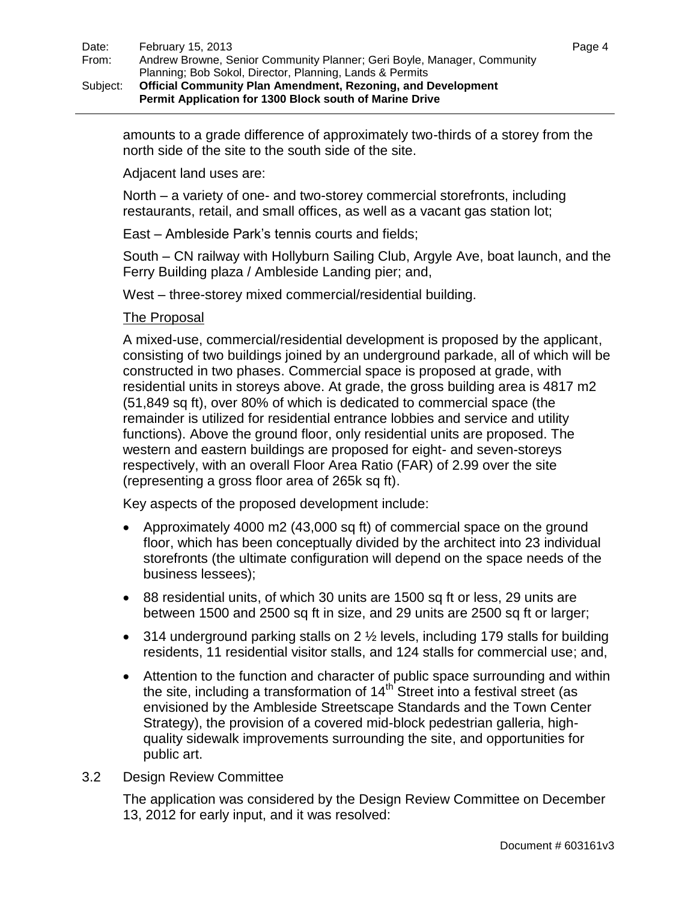amounts to a grade difference of approximately two-thirds of a storey from the north side of the site to the south side of the site.

Adjacent land uses are:

North – a variety of one- and two-storey commercial storefronts, including restaurants, retail, and small offices, as well as a vacant gas station lot;

East – Ambleside Park"s tennis courts and fields;

South – CN railway with Hollyburn Sailing Club, Argyle Ave, boat launch, and the Ferry Building plaza / Ambleside Landing pier; and,

West – three-storey mixed commercial/residential building.

#### The Proposal

A mixed-use, commercial/residential development is proposed by the applicant, consisting of two buildings joined by an underground parkade, all of which will be constructed in two phases. Commercial space is proposed at grade, with residential units in storeys above. At grade, the gross building area is 4817 m2 (51,849 sq ft), over 80% of which is dedicated to commercial space (the remainder is utilized for residential entrance lobbies and service and utility functions). Above the ground floor, only residential units are proposed. The western and eastern buildings are proposed for eight- and seven-storeys respectively, with an overall Floor Area Ratio (FAR) of 2.99 over the site (representing a gross floor area of 265k sq ft).

Key aspects of the proposed development include:

- Approximately 4000 m2 (43,000 sq ft) of commercial space on the ground floor, which has been conceptually divided by the architect into 23 individual storefronts (the ultimate configuration will depend on the space needs of the business lessees);
- 88 residential units, of which 30 units are 1500 sq ft or less, 29 units are between 1500 and 2500 sq ft in size, and 29 units are 2500 sq ft or larger;
- $\bullet$  314 underground parking stalls on 2  $\frac{1}{2}$  levels, including 179 stalls for building residents, 11 residential visitor stalls, and 124 stalls for commercial use; and,
- Attention to the function and character of public space surrounding and within the site, including a transformation of  $14<sup>th</sup>$  Street into a festival street (as envisioned by the Ambleside Streetscape Standards and the Town Center Strategy), the provision of a covered mid-block pedestrian galleria, highquality sidewalk improvements surrounding the site, and opportunities for public art.
- 3.2 Design Review Committee

The application was considered by the Design Review Committee on December 13, 2012 for early input, and it was resolved: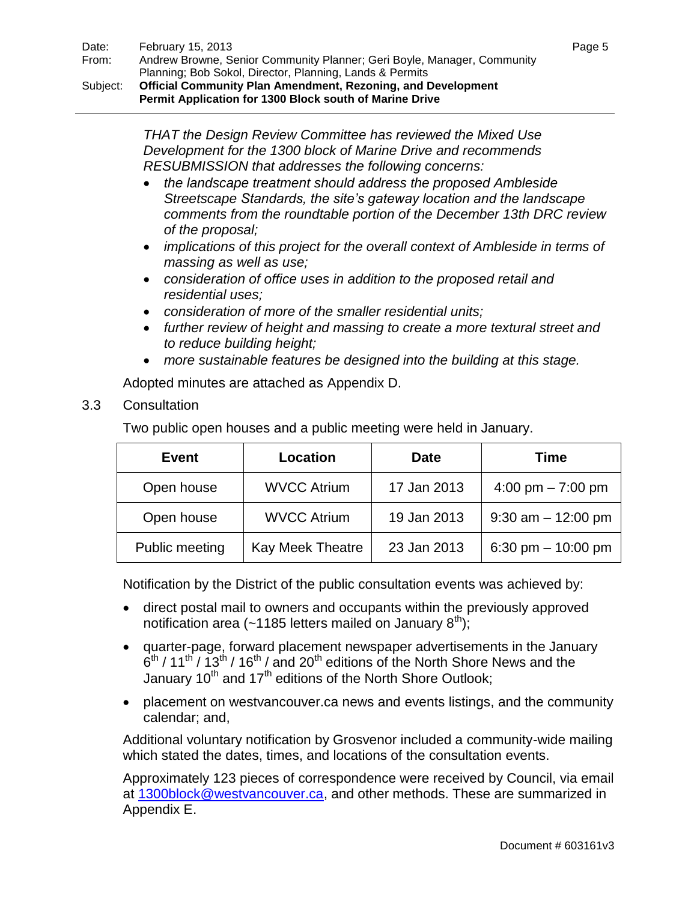*THAT the Design Review Committee has reviewed the Mixed Use Development for the 1300 block of Marine Drive and recommends RESUBMISSION that addresses the following concerns:*

- *the landscape treatment should address the proposed Ambleside Streetscape Standards, the site's gateway location and the landscape comments from the roundtable portion of the December 13th DRC review of the proposal;*
- *implications of this project for the overall context of Ambleside in terms of massing as well as use;*
- *consideration of office uses in addition to the proposed retail and residential uses;*
- *consideration of more of the smaller residential units;*
- *further review of height and massing to create a more textural street and to reduce building height;*
- *more sustainable features be designed into the building at this stage.*

Adopted minutes are attached as Appendix D.

3.3 Consultation

Two public open houses and a public meeting were held in January.

| <b>Event</b>   | <b>Location</b>         | <b>Date</b> | Time                  |
|----------------|-------------------------|-------------|-----------------------|
| Open house     | <b>WVCC Atrium</b>      | 17 Jan 2013 | 4:00 pm $- 7:00$ pm   |
| Open house     | <b>WVCC Atrium</b>      | 19 Jan 2013 | $9:30$ am $-12:00$ pm |
| Public meeting | <b>Kay Meek Theatre</b> | 23 Jan 2013 | 6:30 pm $-$ 10:00 pm  |

Notification by the District of the public consultation events was achieved by:

- direct postal mail to owners and occupants within the previously approved notification area (~1185 letters mailed on January  $8<sup>th</sup>$ );
- quarter-page, forward placement newspaper advertisements in the January  $6<sup>th</sup>$  / 11<sup>th</sup> / 13<sup>th</sup> / 16<sup>th</sup> / and 20<sup>th</sup> editions of the North Shore News and the January  $10^{th}$  and  $17^{th}$  editions of the North Shore Outlook;
- placement on westvancouver.ca news and events listings, and the community calendar; and,

Additional voluntary notification by Grosvenor included a community-wide mailing which stated the dates, times, and locations of the consultation events.

Approximately 123 pieces of correspondence were received by Council, via email at [1300block@westvancouver.ca,](mailto:1300block@westvancouver.ca) and other methods. These are summarized in Appendix E.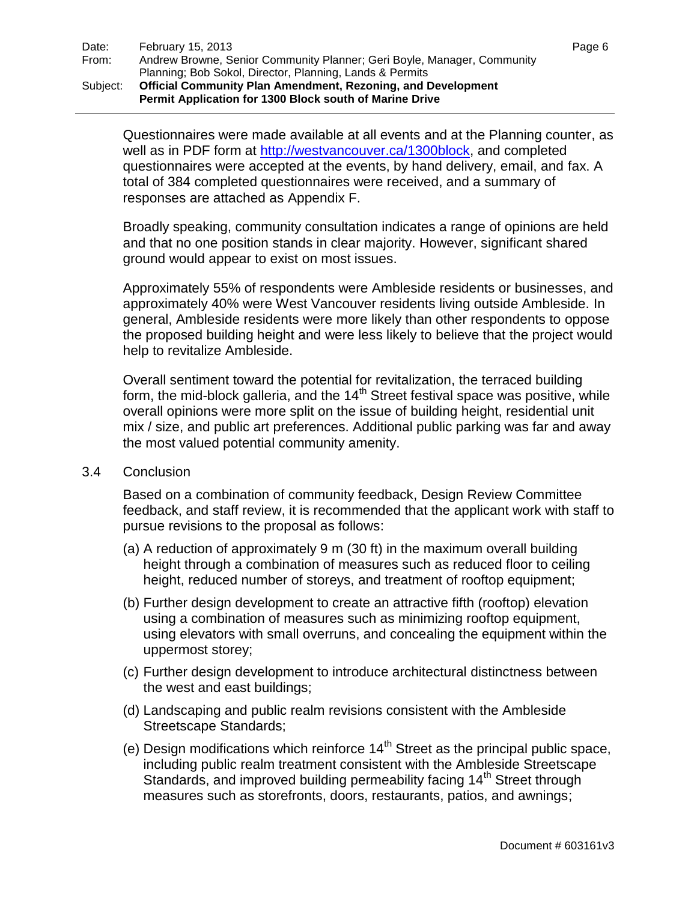Questionnaires were made available at all events and at the Planning counter, as well as in PDF form at [http://westvancouver.ca/1300block,](http://westvancouver.ca/1300block) and completed questionnaires were accepted at the events, by hand delivery, email, and fax. A total of 384 completed questionnaires were received, and a summary of responses are attached as Appendix F.

Broadly speaking, community consultation indicates a range of opinions are held and that no one position stands in clear majority. However, significant shared ground would appear to exist on most issues.

Approximately 55% of respondents were Ambleside residents or businesses, and approximately 40% were West Vancouver residents living outside Ambleside. In general, Ambleside residents were more likely than other respondents to oppose the proposed building height and were less likely to believe that the project would help to revitalize Ambleside.

Overall sentiment toward the potential for revitalization, the terraced building form, the mid-block galleria, and the  $14<sup>th</sup>$  Street festival space was positive, while overall opinions were more split on the issue of building height, residential unit mix / size, and public art preferences. Additional public parking was far and away the most valued potential community amenity.

#### 3.4 Conclusion

Based on a combination of community feedback, Design Review Committee feedback, and staff review, it is recommended that the applicant work with staff to pursue revisions to the proposal as follows:

- (a) A reduction of approximately 9 m (30 ft) in the maximum overall building height through a combination of measures such as reduced floor to ceiling height, reduced number of storeys, and treatment of rooftop equipment;
- (b) Further design development to create an attractive fifth (rooftop) elevation using a combination of measures such as minimizing rooftop equipment, using elevators with small overruns, and concealing the equipment within the uppermost storey;
- (c) Further design development to introduce architectural distinctness between the west and east buildings;
- (d) Landscaping and public realm revisions consistent with the Ambleside Streetscape Standards;
- (e) Design modifications which reinforce  $14<sup>th</sup>$  Street as the principal public space, including public realm treatment consistent with the Ambleside Streetscape Standards, and improved building permeability facing 14<sup>th</sup> Street through measures such as storefronts, doors, restaurants, patios, and awnings;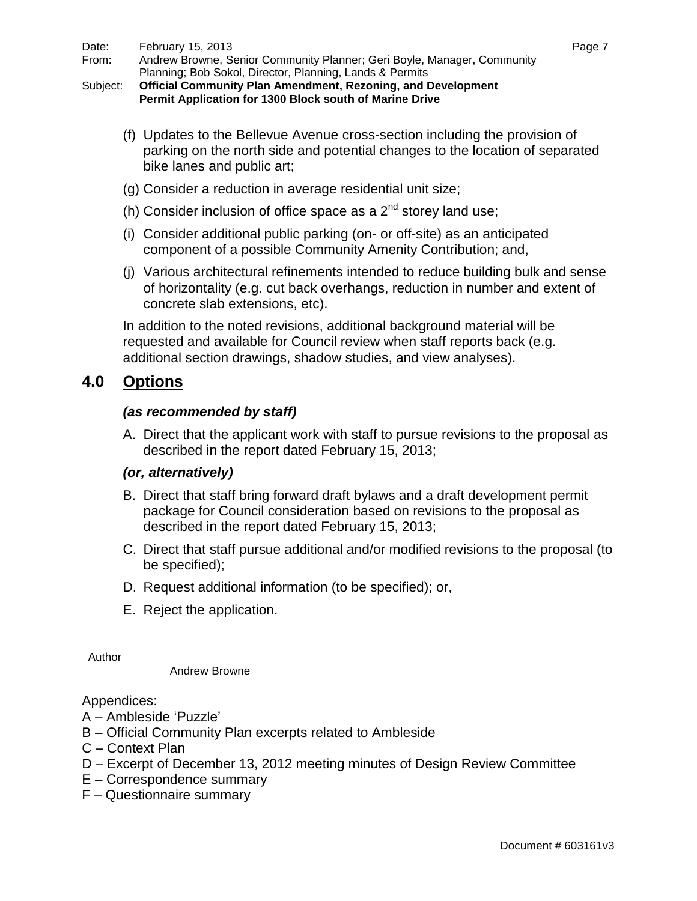(f) Updates to the Bellevue Avenue cross-section including the provision of parking on the north side and potential changes to the location of separated bike lanes and public art;

- (g) Consider a reduction in average residential unit size;
- (h) Consider inclusion of office space as a  $2^{nd}$  storey land use;
- (i) Consider additional public parking (on- or off-site) as an anticipated component of a possible Community Amenity Contribution; and,
- (j) Various architectural refinements intended to reduce building bulk and sense of horizontality (e.g. cut back overhangs, reduction in number and extent of concrete slab extensions, etc).

In addition to the noted revisions, additional background material will be requested and available for Council review when staff reports back (e.g. additional section drawings, shadow studies, and view analyses).

### **4.0 Options**

#### *(as recommended by staff)*

A. Direct that the applicant work with staff to pursue revisions to the proposal as described in the report dated February 15, 2013;

#### *(or, alternatively)*

- B. Direct that staff bring forward draft bylaws and a draft development permit package for Council consideration based on revisions to the proposal as described in the report dated February 15, 2013;
- C. Direct that staff pursue additional and/or modified revisions to the proposal (to be specified);
- D. Request additional information (to be specified); or,
- E. Reject the application.

Author

Andrew Browne

Appendices:

- A Ambleside "Puzzle"
- B Official Community Plan excerpts related to Ambleside
- C Context Plan
- D Excerpt of December 13, 2012 meeting minutes of Design Review Committee
- E Correspondence summary
- F Questionnaire summary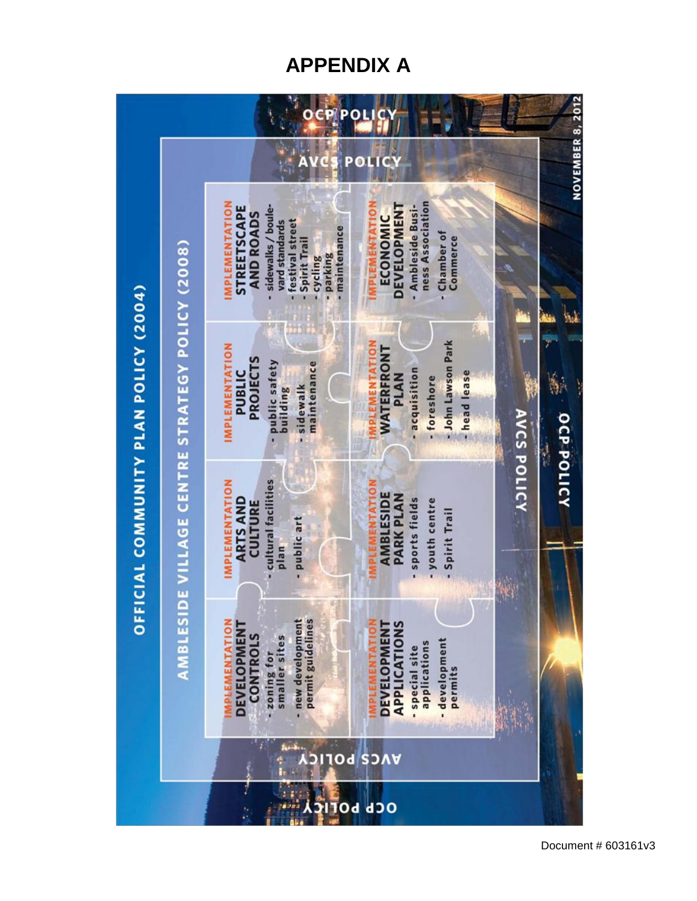## **APPENDIX A**

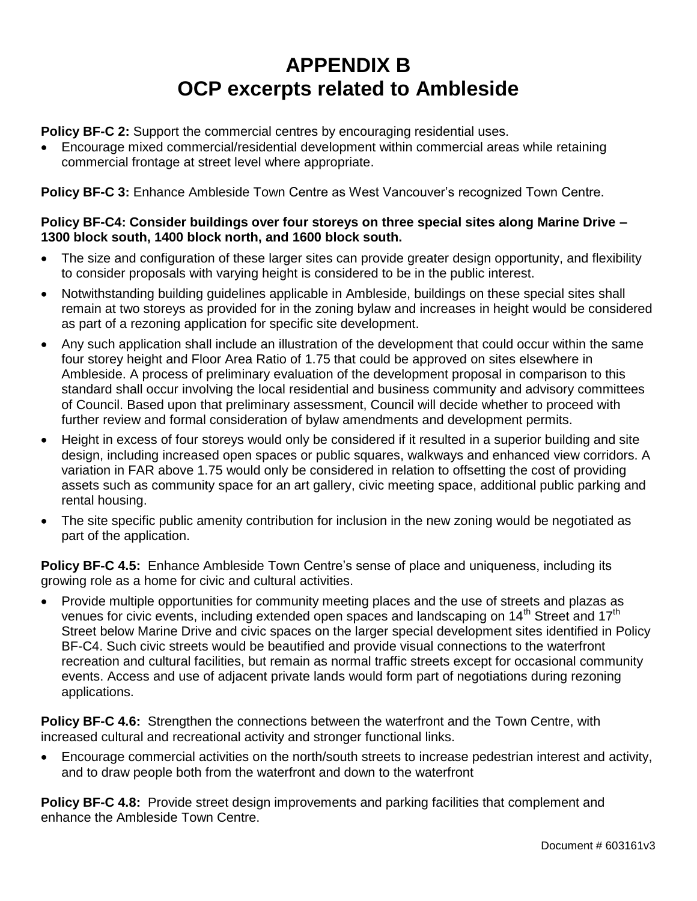## **APPENDIX B OCP excerpts related to Ambleside**

**Policy BF-C 2:** Support the commercial centres by encouraging residential uses.

 Encourage mixed commercial/residential development within commercial areas while retaining commercial frontage at street level where appropriate.

**Policy BF-C 3:** Enhance Ambleside Town Centre as West Vancouver's recognized Town Centre.

#### **Policy BF-C4: Consider buildings over four storeys on three special sites along Marine Drive – 1300 block south, 1400 block north, and 1600 block south.**

- The size and configuration of these larger sites can provide greater design opportunity, and flexibility to consider proposals with varying height is considered to be in the public interest.
- Notwithstanding building guidelines applicable in Ambleside, buildings on these special sites shall remain at two storeys as provided for in the zoning bylaw and increases in height would be considered as part of a rezoning application for specific site development.
- Any such application shall include an illustration of the development that could occur within the same four storey height and Floor Area Ratio of 1.75 that could be approved on sites elsewhere in Ambleside. A process of preliminary evaluation of the development proposal in comparison to this standard shall occur involving the local residential and business community and advisory committees of Council. Based upon that preliminary assessment, Council will decide whether to proceed with further review and formal consideration of bylaw amendments and development permits.
- Height in excess of four storeys would only be considered if it resulted in a superior building and site design, including increased open spaces or public squares, walkways and enhanced view corridors. A variation in FAR above 1.75 would only be considered in relation to offsetting the cost of providing assets such as community space for an art gallery, civic meeting space, additional public parking and rental housing.
- The site specific public amenity contribution for inclusion in the new zoning would be negotiated as part of the application.

**Policy BF-C 4.5:** Enhance Ambleside Town Centre's sense of place and uniqueness, including its growing role as a home for civic and cultural activities.

 Provide multiple opportunities for community meeting places and the use of streets and plazas as venues for civic events, including extended open spaces and landscaping on 14<sup>th</sup> Street and 17<sup>th</sup> Street below Marine Drive and civic spaces on the larger special development sites identified in Policy BF-C4. Such civic streets would be beautified and provide visual connections to the waterfront recreation and cultural facilities, but remain as normal traffic streets except for occasional community events. Access and use of adjacent private lands would form part of negotiations during rezoning applications.

**Policy BF-C 4.6:** Strengthen the connections between the waterfront and the Town Centre, with increased cultural and recreational activity and stronger functional links.

 Encourage commercial activities on the north/south streets to increase pedestrian interest and activity, and to draw people both from the waterfront and down to the waterfront

**Policy BF-C 4.8:** Provide street design improvements and parking facilities that complement and enhance the Ambleside Town Centre.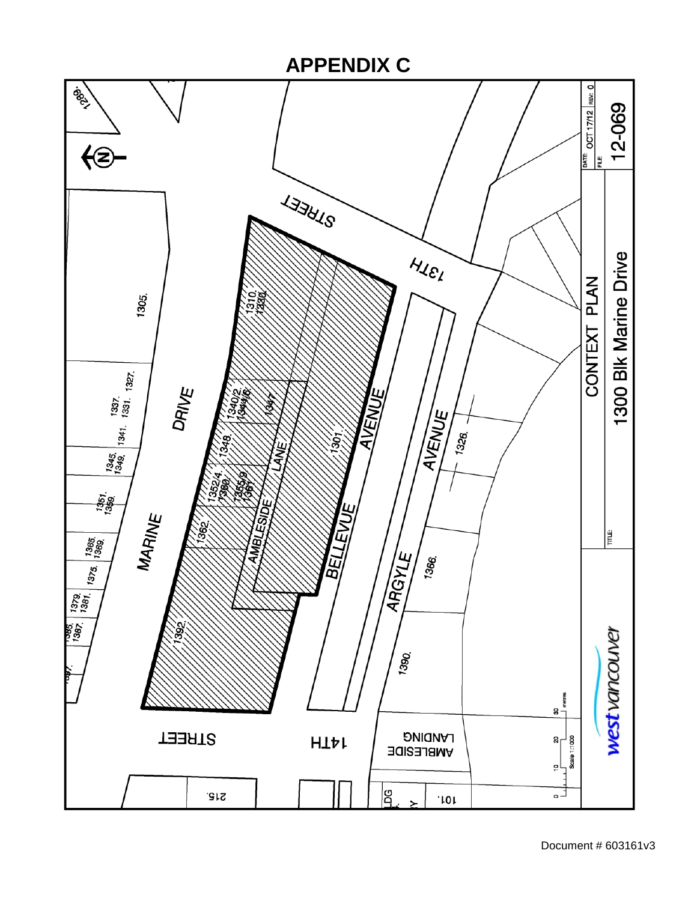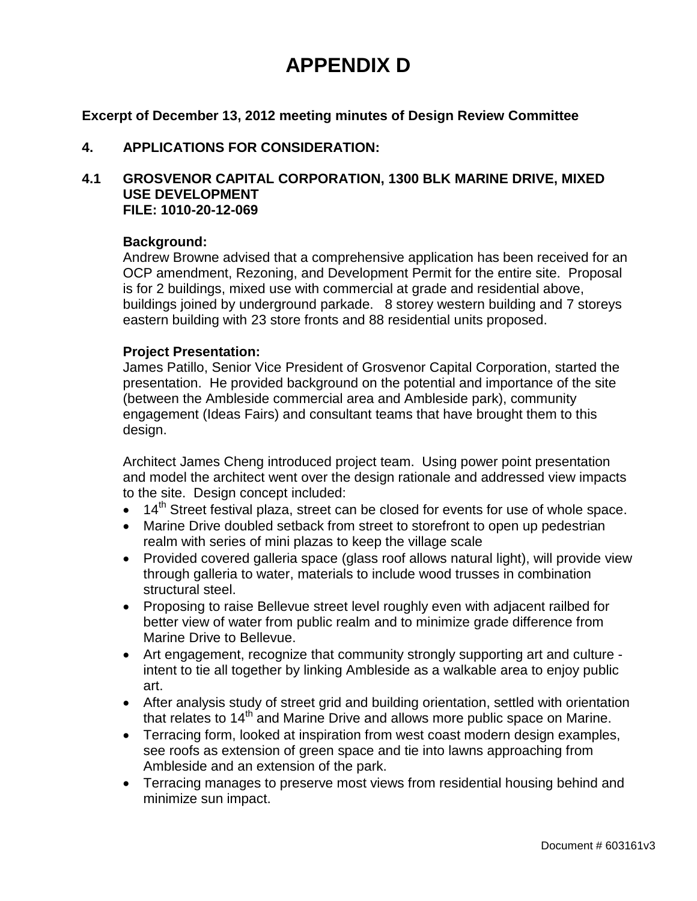## **APPENDIX D**

**Excerpt of December 13, 2012 meeting minutes of Design Review Committee**

#### **4. APPLICATIONS FOR CONSIDERATION:**

#### **4.1 GROSVENOR CAPITAL CORPORATION, 1300 BLK MARINE DRIVE, MIXED USE DEVELOPMENT FILE: 1010-20-12-069**

#### **Background:**

Andrew Browne advised that a comprehensive application has been received for an OCP amendment, Rezoning, and Development Permit for the entire site. Proposal is for 2 buildings, mixed use with commercial at grade and residential above, buildings joined by underground parkade. 8 storey western building and 7 storeys eastern building with 23 store fronts and 88 residential units proposed.

#### **Project Presentation:**

James Patillo, Senior Vice President of Grosvenor Capital Corporation, started the presentation. He provided background on the potential and importance of the site (between the Ambleside commercial area and Ambleside park), community engagement (Ideas Fairs) and consultant teams that have brought them to this design.

Architect James Cheng introduced project team. Using power point presentation and model the architect went over the design rationale and addressed view impacts to the site. Design concept included:

- $\bullet$  14<sup>th</sup> Street festival plaza, street can be closed for events for use of whole space.
- Marine Drive doubled setback from street to storefront to open up pedestrian realm with series of mini plazas to keep the village scale
- Provided covered galleria space (glass roof allows natural light), will provide view through galleria to water, materials to include wood trusses in combination structural steel.
- Proposing to raise Bellevue street level roughly even with adjacent railbed for better view of water from public realm and to minimize grade difference from Marine Drive to Bellevue.
- Art engagement, recognize that community strongly supporting art and culture intent to tie all together by linking Ambleside as a walkable area to enjoy public art.
- After analysis study of street grid and building orientation, settled with orientation that relates to 14<sup>th</sup> and Marine Drive and allows more public space on Marine.
- Terracing form, looked at inspiration from west coast modern design examples, see roofs as extension of green space and tie into lawns approaching from Ambleside and an extension of the park.
- Terracing manages to preserve most views from residential housing behind and minimize sun impact.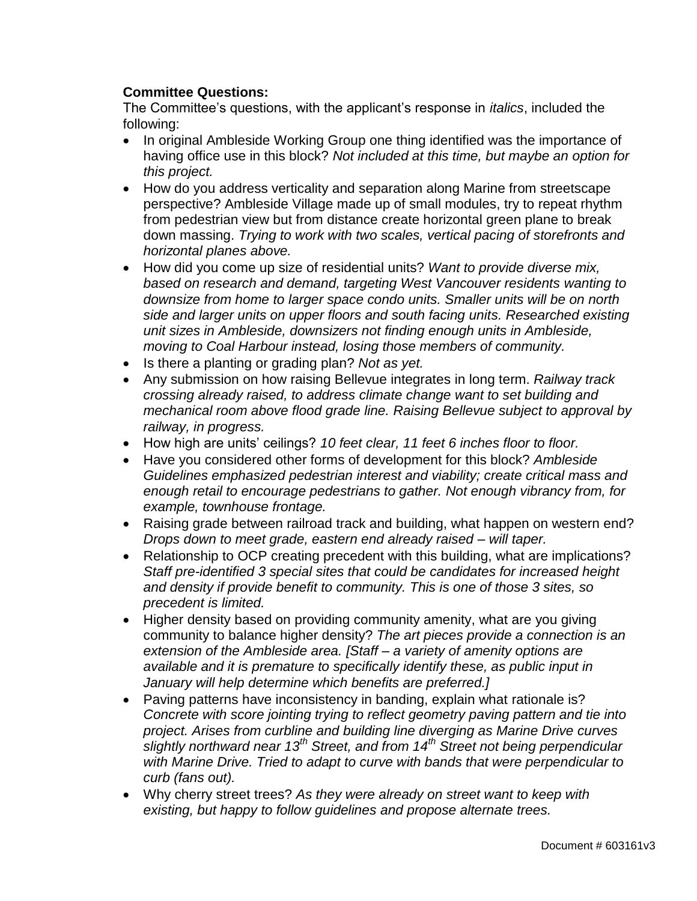### **Committee Questions:**

The Committee"s questions, with the applicant"s response in *italics*, included the following:

- In original Ambleside Working Group one thing identified was the importance of having office use in this block? *Not included at this time, but maybe an option for this project.*
- How do you address verticality and separation along Marine from streetscape perspective? Ambleside Village made up of small modules, try to repeat rhythm from pedestrian view but from distance create horizontal green plane to break down massing. *Trying to work with two scales, vertical pacing of storefronts and horizontal planes above.*
- How did you come up size of residential units? *Want to provide diverse mix, based on research and demand, targeting West Vancouver residents wanting to downsize from home to larger space condo units. Smaller units will be on north side and larger units on upper floors and south facing units. Researched existing unit sizes in Ambleside, downsizers not finding enough units in Ambleside, moving to Coal Harbour instead, losing those members of community.*
- Is there a planting or grading plan? *Not as yet.*
- Any submission on how raising Bellevue integrates in long term. *Railway track crossing already raised, to address climate change want to set building and mechanical room above flood grade line. Raising Bellevue subject to approval by railway, in progress.*
- How high are units" ceilings? *10 feet clear, 11 feet 6 inches floor to floor.*
- Have you considered other forms of development for this block? *Ambleside Guidelines emphasized pedestrian interest and viability; create critical mass and enough retail to encourage pedestrians to gather. Not enough vibrancy from, for example, townhouse frontage.*
- Raising grade between railroad track and building, what happen on western end? *Drops down to meet grade, eastern end already raised – will taper.*
- Relationship to OCP creating precedent with this building, what are implications? *Staff pre-identified 3 special sites that could be candidates for increased height and density if provide benefit to community. This is one of those 3 sites, so precedent is limited.*
- Higher density based on providing community amenity, what are you giving community to balance higher density? *The art pieces provide a connection is an extension of the Ambleside area. [Staff – a variety of amenity options are available and it is premature to specifically identify these, as public input in January will help determine which benefits are preferred.]*
- Paving patterns have inconsistency in banding, explain what rationale is? *Concrete with score jointing trying to reflect geometry paving pattern and tie into project. Arises from curbline and building line diverging as Marine Drive curves slightly northward near 13th Street, and from 14th Street not being perpendicular with Marine Drive. Tried to adapt to curve with bands that were perpendicular to curb (fans out).*
- Why cherry street trees? *As they were already on street want to keep with existing, but happy to follow guidelines and propose alternate trees.*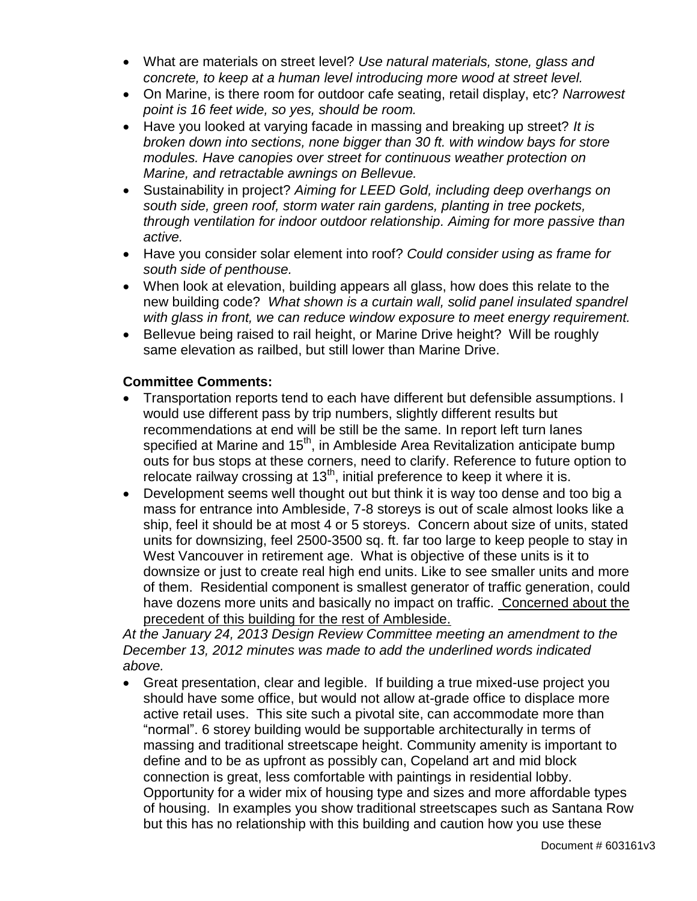- What are materials on street level? *Use natural materials, stone, glass and concrete, to keep at a human level introducing more wood at street level.*
- On Marine, is there room for outdoor cafe seating, retail display, etc? *Narrowest point is 16 feet wide, so yes, should be room.*
- Have you looked at varying facade in massing and breaking up street? *It is broken down into sections, none bigger than 30 ft. with window bays for store modules. Have canopies over street for continuous weather protection on Marine, and retractable awnings on Bellevue.*
- Sustainability in project? *Aiming for LEED Gold, including deep overhangs on south side, green roof, storm water rain gardens, planting in tree pockets, through ventilation for indoor outdoor relationship. Aiming for more passive than active.*
- Have you consider solar element into roof? *Could consider using as frame for south side of penthouse.*
- When look at elevation, building appears all glass, how does this relate to the new building code? *What shown is a curtain wall, solid panel insulated spandrel with glass in front, we can reduce window exposure to meet energy requirement.*
- Bellevue being raised to rail height, or Marine Drive height? Will be roughly same elevation as railbed, but still lower than Marine Drive.

#### **Committee Comments:**

- Transportation reports tend to each have different but defensible assumptions. I would use different pass by trip numbers, slightly different results but recommendations at end will be still be the same. In report left turn lanes specified at Marine and  $15<sup>th</sup>$ , in Ambleside Area Revitalization anticipate bump outs for bus stops at these corners, need to clarify. Reference to future option to relocate railway crossing at  $13<sup>th</sup>$ , initial preference to keep it where it is.
- Development seems well thought out but think it is way too dense and too big a mass for entrance into Ambleside, 7-8 storeys is out of scale almost looks like a ship, feel it should be at most 4 or 5 storeys. Concern about size of units, stated units for downsizing, feel 2500-3500 sq. ft. far too large to keep people to stay in West Vancouver in retirement age. What is objective of these units is it to downsize or just to create real high end units. Like to see smaller units and more of them. Residential component is smallest generator of traffic generation, could have dozens more units and basically no impact on traffic. Concerned about the precedent of this building for the rest of Ambleside.

*At the January 24, 2013 Design Review Committee meeting an amendment to the December 13, 2012 minutes was made to add the underlined words indicated above.*

 Great presentation, clear and legible. If building a true mixed-use project you should have some office, but would not allow at-grade office to displace more active retail uses. This site such a pivotal site, can accommodate more than "normal". 6 storey building would be supportable architecturally in terms of massing and traditional streetscape height. Community amenity is important to define and to be as upfront as possibly can, Copeland art and mid block connection is great, less comfortable with paintings in residential lobby. Opportunity for a wider mix of housing type and sizes and more affordable types of housing. In examples you show traditional streetscapes such as Santana Row but this has no relationship with this building and caution how you use these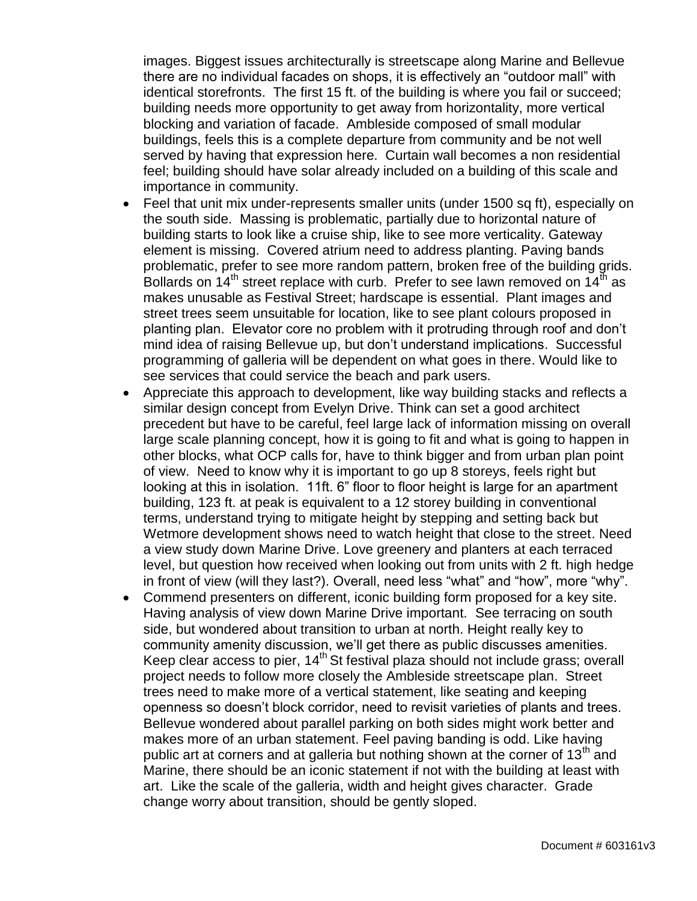images. Biggest issues architecturally is streetscape along Marine and Bellevue there are no individual facades on shops, it is effectively an "outdoor mall" with identical storefronts. The first 15 ft. of the building is where you fail or succeed; building needs more opportunity to get away from horizontality, more vertical blocking and variation of facade. Ambleside composed of small modular buildings, feels this is a complete departure from community and be not well served by having that expression here. Curtain wall becomes a non residential feel; building should have solar already included on a building of this scale and importance in community.

- Feel that unit mix under-represents smaller units (under 1500 sq ft), especially on the south side. Massing is problematic, partially due to horizontal nature of building starts to look like a cruise ship, like to see more verticality. Gateway element is missing. Covered atrium need to address planting. Paving bands problematic, prefer to see more random pattern, broken free of the building grids. Bollards on  $14<sup>th</sup>$  street replace with curb. Prefer to see lawn removed on  $14<sup>th</sup>$  as makes unusable as Festival Street; hardscape is essential. Plant images and street trees seem unsuitable for location, like to see plant colours proposed in planting plan. Elevator core no problem with it protruding through roof and don"t mind idea of raising Bellevue up, but don"t understand implications. Successful programming of galleria will be dependent on what goes in there. Would like to see services that could service the beach and park users.
- Appreciate this approach to development, like way building stacks and reflects a similar design concept from Evelyn Drive. Think can set a good architect precedent but have to be careful, feel large lack of information missing on overall large scale planning concept, how it is going to fit and what is going to happen in other blocks, what OCP calls for, have to think bigger and from urban plan point of view. Need to know why it is important to go up 8 storeys, feels right but looking at this in isolation. 11ft. 6" floor to floor height is large for an apartment building, 123 ft. at peak is equivalent to a 12 storey building in conventional terms, understand trying to mitigate height by stepping and setting back but Wetmore development shows need to watch height that close to the street. Need a view study down Marine Drive. Love greenery and planters at each terraced level, but question how received when looking out from units with 2 ft. high hedge in front of view (will they last?). Overall, need less "what" and "how", more "why".
- Commend presenters on different, iconic building form proposed for a key site. Having analysis of view down Marine Drive important. See terracing on south side, but wondered about transition to urban at north. Height really key to community amenity discussion, we"ll get there as public discusses amenities. Keep clear access to pier, 14<sup>th</sup> St festival plaza should not include grass; overall project needs to follow more closely the Ambleside streetscape plan. Street trees need to make more of a vertical statement, like seating and keeping openness so doesn"t block corridor, need to revisit varieties of plants and trees. Bellevue wondered about parallel parking on both sides might work better and makes more of an urban statement. Feel paving banding is odd. Like having public art at corners and at galleria but nothing shown at the corner of  $13<sup>th</sup>$  and Marine, there should be an iconic statement if not with the building at least with art. Like the scale of the galleria, width and height gives character. Grade change worry about transition, should be gently sloped.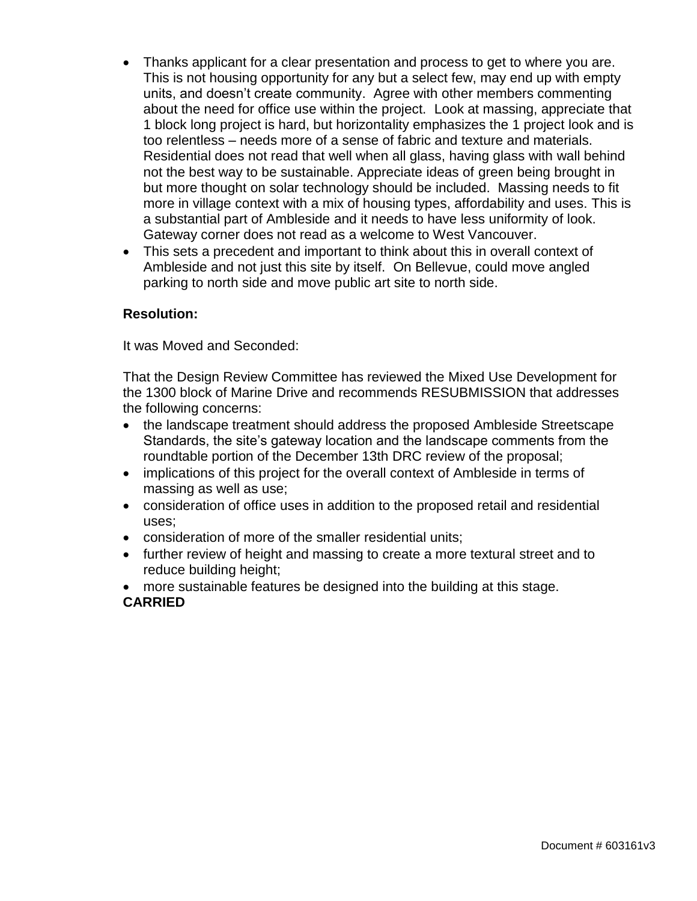- Thanks applicant for a clear presentation and process to get to where you are. This is not housing opportunity for any but a select few, may end up with empty units, and doesn"t create community. Agree with other members commenting about the need for office use within the project. Look at massing, appreciate that 1 block long project is hard, but horizontality emphasizes the 1 project look and is too relentless – needs more of a sense of fabric and texture and materials. Residential does not read that well when all glass, having glass with wall behind not the best way to be sustainable. Appreciate ideas of green being brought in but more thought on solar technology should be included. Massing needs to fit more in village context with a mix of housing types, affordability and uses. This is a substantial part of Ambleside and it needs to have less uniformity of look. Gateway corner does not read as a welcome to West Vancouver.
- This sets a precedent and important to think about this in overall context of Ambleside and not just this site by itself. On Bellevue, could move angled parking to north side and move public art site to north side.

#### **Resolution:**

It was Moved and Seconded:

That the Design Review Committee has reviewed the Mixed Use Development for the 1300 block of Marine Drive and recommends RESUBMISSION that addresses the following concerns:

- the landscape treatment should address the proposed Ambleside Streetscape Standards, the site's gateway location and the landscape comments from the roundtable portion of the December 13th DRC review of the proposal;
- implications of this project for the overall context of Ambleside in terms of massing as well as use;
- consideration of office uses in addition to the proposed retail and residential uses;
- consideration of more of the smaller residential units;
- further review of height and massing to create a more textural street and to reduce building height;
- more sustainable features be designed into the building at this stage. **CARRIED**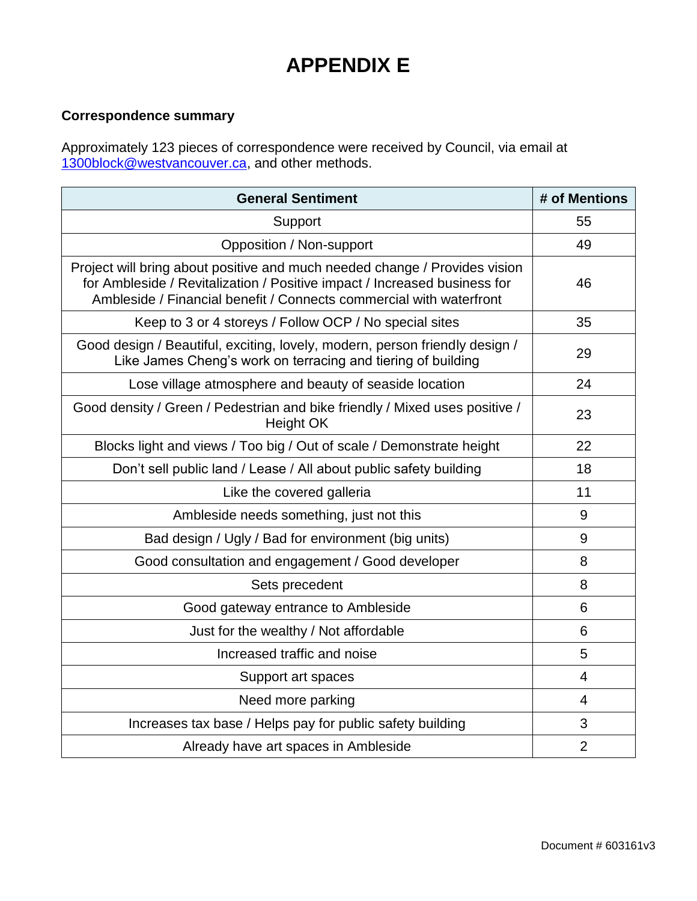## **APPENDIX E**

## **Correspondence summary**

Approximately 123 pieces of correspondence were received by Council, via email at [1300block@westvancouver.ca,](mailto:1300block@westvancouver.ca) and other methods.

| <b>General Sentiment</b>                                                                                                                                                                                                       | # of Mentions  |
|--------------------------------------------------------------------------------------------------------------------------------------------------------------------------------------------------------------------------------|----------------|
| Support                                                                                                                                                                                                                        | 55             |
| Opposition / Non-support                                                                                                                                                                                                       | 49             |
| Project will bring about positive and much needed change / Provides vision<br>for Ambleside / Revitalization / Positive impact / Increased business for<br>Ambleside / Financial benefit / Connects commercial with waterfront | 46             |
| Keep to 3 or 4 storeys / Follow OCP / No special sites                                                                                                                                                                         | 35             |
| Good design / Beautiful, exciting, lovely, modern, person friendly design /<br>Like James Cheng's work on terracing and tiering of building                                                                                    | 29             |
| Lose village atmosphere and beauty of seaside location                                                                                                                                                                         | 24             |
| Good density / Green / Pedestrian and bike friendly / Mixed uses positive /<br><b>Height OK</b>                                                                                                                                | 23             |
| Blocks light and views / Too big / Out of scale / Demonstrate height                                                                                                                                                           | 22             |
| Don't sell public land / Lease / All about public safety building                                                                                                                                                              | 18             |
| Like the covered galleria                                                                                                                                                                                                      | 11             |
| Ambleside needs something, just not this                                                                                                                                                                                       | 9              |
| Bad design / Ugly / Bad for environment (big units)                                                                                                                                                                            | 9              |
| Good consultation and engagement / Good developer                                                                                                                                                                              | 8              |
| Sets precedent                                                                                                                                                                                                                 | 8              |
| Good gateway entrance to Ambleside                                                                                                                                                                                             | 6              |
| Just for the wealthy / Not affordable                                                                                                                                                                                          | 6              |
| Increased traffic and noise                                                                                                                                                                                                    | 5              |
| Support art spaces                                                                                                                                                                                                             | $\overline{4}$ |
| Need more parking                                                                                                                                                                                                              | $\overline{4}$ |
| Increases tax base / Helps pay for public safety building                                                                                                                                                                      | 3              |
| Already have art spaces in Ambleside                                                                                                                                                                                           | $\overline{2}$ |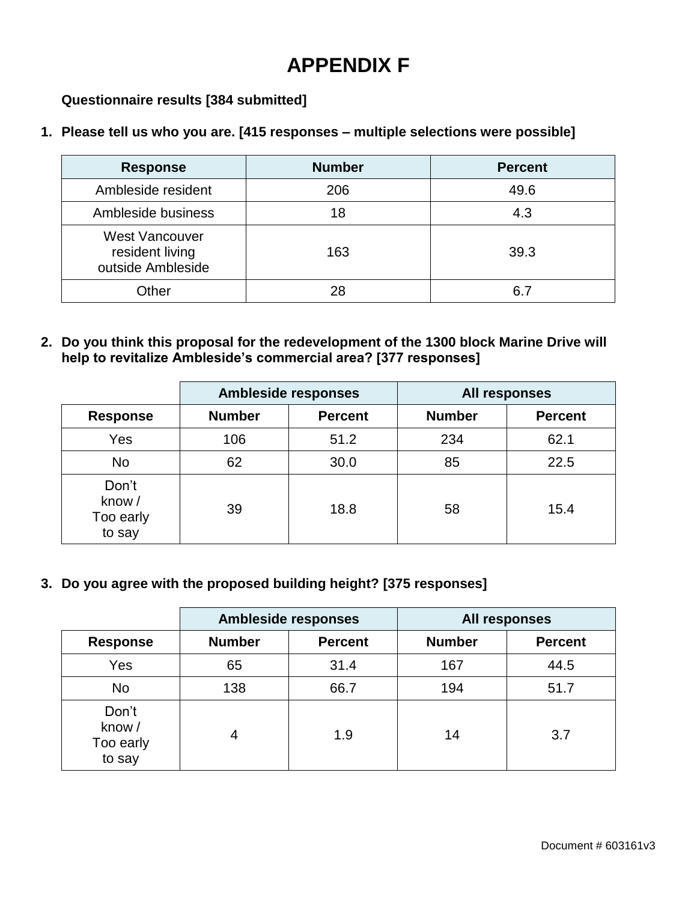## **APPENDIX F**

### **Questionnaire results [384 submitted]**

#### **1. Please tell us who you are. [415 responses – multiple selections were possible]**

| <b>Response</b>                                               | <b>Number</b> | <b>Percent</b> |
|---------------------------------------------------------------|---------------|----------------|
| Ambleside resident                                            | 206           | 49.6           |
| Ambleside business                                            | 18            | 4.3            |
| <b>West Vancouver</b><br>resident living<br>outside Ambleside | 163           | 39.3           |
| Other                                                         | 28            | 6 7            |

**2. Do you think this proposal for the redevelopment of the 1300 block Marine Drive will help to revitalize Ambleside's commercial area? [377 responses]**

|                                       | <b>Ambleside responses</b> |                | <b>All responses</b> |                |
|---------------------------------------|----------------------------|----------------|----------------------|----------------|
| <b>Response</b>                       | <b>Number</b>              | <b>Percent</b> | <b>Number</b>        | <b>Percent</b> |
| Yes                                   | 106                        | 51.2           | 234                  | 62.1           |
| <b>No</b>                             | 62                         | 30.0           | 85                   | 22.5           |
| Don't<br>know/<br>Too early<br>to say | 39                         | 18.8           | 58                   | 15.4           |

**3. Do you agree with the proposed building height? [375 responses]**

|                                       | <b>Ambleside responses</b> |                | All responses |                |
|---------------------------------------|----------------------------|----------------|---------------|----------------|
| <b>Response</b>                       | <b>Number</b>              | <b>Percent</b> | <b>Number</b> | <b>Percent</b> |
| Yes                                   | 65                         | 31.4           | 167           | 44.5           |
| <b>No</b>                             | 138                        | 66.7           | 194           | 51.7           |
| Don't<br>know/<br>Too early<br>to say | 4                          | 1.9            | 14            | 3.7            |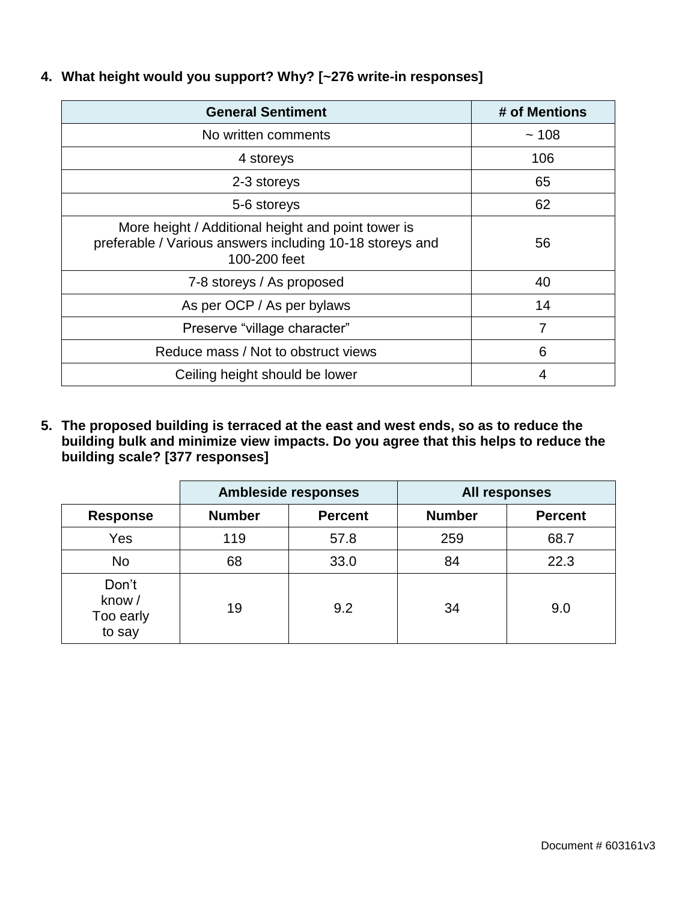| <b>General Sentiment</b>                                                                                                       | # of Mentions |
|--------------------------------------------------------------------------------------------------------------------------------|---------------|
| No written comments                                                                                                            | ~108          |
| 4 storeys                                                                                                                      | 106           |
| 2-3 storeys                                                                                                                    | 65            |
| 5-6 storeys                                                                                                                    | 62            |
| More height / Additional height and point tower is<br>preferable / Various answers including 10-18 storeys and<br>100-200 feet | 56            |
| 7-8 storeys / As proposed                                                                                                      | 40            |
| As per OCP / As per bylaws                                                                                                     | 14            |
| Preserve "village character"                                                                                                   | 7             |
| Reduce mass / Not to obstruct views                                                                                            | 6             |
| Ceiling height should be lower                                                                                                 | 4             |

**4. What height would you support? Why? [~276 write-in responses]**

**5. The proposed building is terraced at the east and west ends, so as to reduce the building bulk and minimize view impacts. Do you agree that this helps to reduce the building scale? [377 responses]**

|                                       | <b>Ambleside responses</b> |                | All responses |                |
|---------------------------------------|----------------------------|----------------|---------------|----------------|
| <b>Response</b>                       | <b>Number</b>              | <b>Percent</b> | <b>Number</b> | <b>Percent</b> |
| Yes                                   | 119                        | 57.8           | 259           | 68.7           |
| <b>No</b>                             | 68                         | 33.0           | 84            | 22.3           |
| Don't<br>know/<br>Too early<br>to say | 19                         | 9.2            | 34            | 9.0            |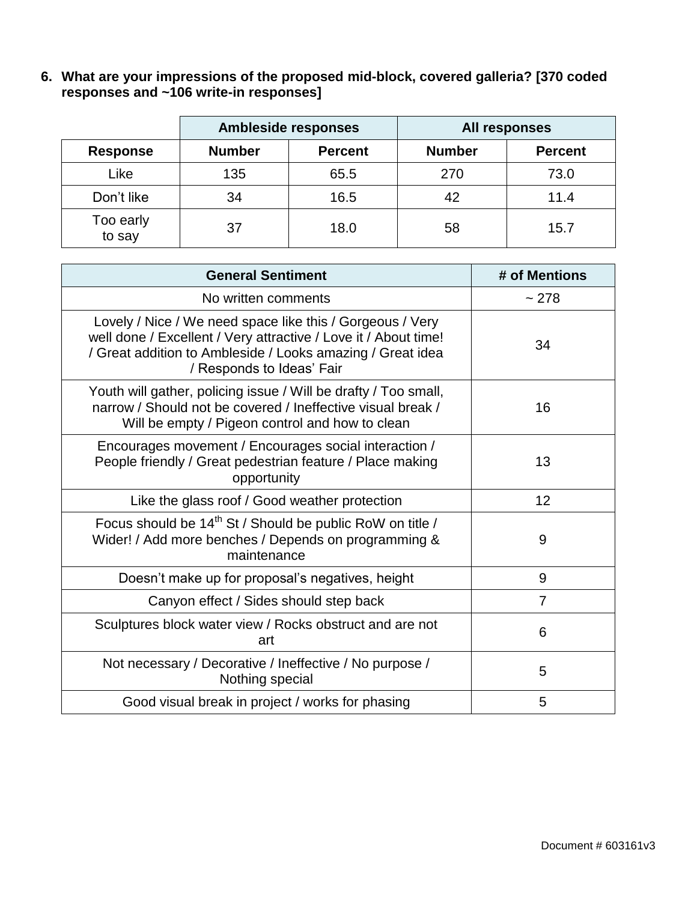**6. What are your impressions of the proposed mid-block, covered galleria? [370 coded responses and ~106 write-in responses]**

|                     | <b>Ambleside responses</b> |                | All responses |                |
|---------------------|----------------------------|----------------|---------------|----------------|
| <b>Response</b>     | <b>Number</b>              | <b>Percent</b> | <b>Number</b> | <b>Percent</b> |
| Like                | 135                        | 65.5           | 270           | 73.0           |
| Don't like          | 34                         | 16.5           | 42            | 11.4           |
| Too early<br>to say | 37                         | 18.0           | 58            | 15.7           |

| <b>General Sentiment</b>                                                                                                                                                                                                | # of Mentions  |
|-------------------------------------------------------------------------------------------------------------------------------------------------------------------------------------------------------------------------|----------------|
| No written comments                                                                                                                                                                                                     | ~278           |
| Lovely / Nice / We need space like this / Gorgeous / Very<br>well done / Excellent / Very attractive / Love it / About time!<br>/ Great addition to Ambleside / Looks amazing / Great idea<br>/ Responds to Ideas' Fair | 34             |
| Youth will gather, policing issue / Will be drafty / Too small,<br>narrow / Should not be covered / Ineffective visual break /<br>Will be empty / Pigeon control and how to clean                                       | 16             |
| Encourages movement / Encourages social interaction /<br>People friendly / Great pedestrian feature / Place making<br>opportunity                                                                                       | 13             |
| Like the glass roof / Good weather protection                                                                                                                                                                           | 12             |
| Focus should be 14 <sup>th</sup> St / Should be public RoW on title /<br>Wider! / Add more benches / Depends on programming &<br>maintenance                                                                            | 9              |
| Doesn't make up for proposal's negatives, height                                                                                                                                                                        | 9              |
| Canyon effect / Sides should step back                                                                                                                                                                                  | $\overline{7}$ |
| Sculptures block water view / Rocks obstruct and are not<br>art                                                                                                                                                         | 6              |
| Not necessary / Decorative / Ineffective / No purpose /<br>Nothing special                                                                                                                                              | 5              |
| Good visual break in project / works for phasing                                                                                                                                                                        | 5              |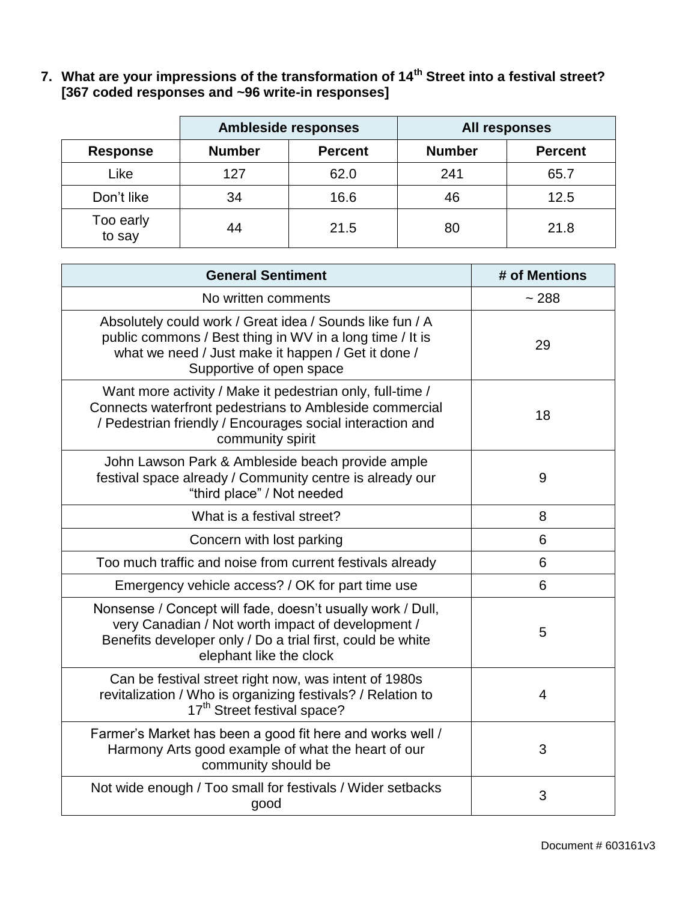**7. What are your impressions of the transformation of 14th Street into a festival street? [367 coded responses and ~96 write-in responses]**

|                     |               | <b>Ambleside responses</b> |               | All responses  |
|---------------------|---------------|----------------------------|---------------|----------------|
| <b>Response</b>     | <b>Number</b> | <b>Percent</b>             | <b>Number</b> | <b>Percent</b> |
| Like                | 127           | 62.0                       | 241           | 65.7           |
| Don't like          | 34            | 16.6                       | 46            | 12.5           |
| Too early<br>to say | 44            | 21.5                       | 80            | 21.8           |

| <b>General Sentiment</b>                                                                                                                                                                                 | # of Mentions |
|----------------------------------------------------------------------------------------------------------------------------------------------------------------------------------------------------------|---------------|
| No written comments                                                                                                                                                                                      | ~288          |
| Absolutely could work / Great idea / Sounds like fun / A<br>public commons / Best thing in WV in a long time / It is<br>what we need / Just make it happen / Get it done /<br>Supportive of open space   | 29            |
| Want more activity / Make it pedestrian only, full-time /<br>Connects waterfront pedestrians to Ambleside commercial<br>/ Pedestrian friendly / Encourages social interaction and<br>community spirit    | 18            |
| John Lawson Park & Ambleside beach provide ample<br>festival space already / Community centre is already our<br>"third place" / Not needed                                                               | 9             |
| What is a festival street?                                                                                                                                                                               | 8             |
| Concern with lost parking                                                                                                                                                                                | 6             |
| Too much traffic and noise from current festivals already                                                                                                                                                | 6             |
| Emergency vehicle access? / OK for part time use                                                                                                                                                         | 6             |
| Nonsense / Concept will fade, doesn't usually work / Dull,<br>very Canadian / Not worth impact of development /<br>Benefits developer only / Do a trial first, could be white<br>elephant like the clock | 5             |
| Can be festival street right now, was intent of 1980s<br>revitalization / Who is organizing festivals? / Relation to<br>17 <sup>th</sup> Street festival space?                                          | 4             |
| Farmer's Market has been a good fit here and works well /<br>Harmony Arts good example of what the heart of our<br>community should be                                                                   | 3             |
| Not wide enough / Too small for festivals / Wider setbacks<br>good                                                                                                                                       | 3             |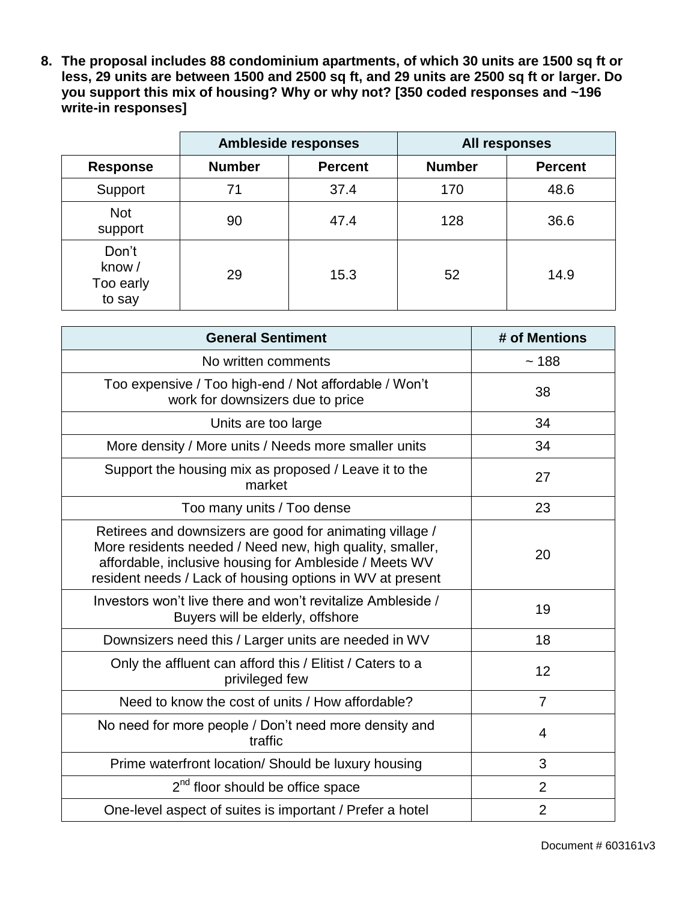**8. The proposal includes 88 condominium apartments, of which 30 units are 1500 sq ft or less, 29 units are between 1500 and 2500 sq ft, and 29 units are 2500 sq ft or larger. Do you support this mix of housing? Why or why not? [350 coded responses and ~196 write-in responses]**

|                                       | <b>Ambleside responses</b> |                |               | All responses  |
|---------------------------------------|----------------------------|----------------|---------------|----------------|
| <b>Response</b>                       | <b>Number</b>              | <b>Percent</b> | <b>Number</b> | <b>Percent</b> |
| Support                               | 71                         | 37.4           | 170           | 48.6           |
| <b>Not</b><br>support                 | 90                         | 47.4           | 128           | 36.6           |
| Don't<br>know/<br>Too early<br>to say | 29                         | 15.3           | 52            | 14.9           |

| <b>General Sentiment</b>                                                                                                                                                                                                                    | # of Mentions  |
|---------------------------------------------------------------------------------------------------------------------------------------------------------------------------------------------------------------------------------------------|----------------|
| No written comments                                                                                                                                                                                                                         | ~188           |
| Too expensive / Too high-end / Not affordable / Won't<br>work for downsizers due to price                                                                                                                                                   | 38             |
| Units are too large                                                                                                                                                                                                                         | 34             |
| More density / More units / Needs more smaller units                                                                                                                                                                                        | 34             |
| Support the housing mix as proposed / Leave it to the<br>market                                                                                                                                                                             | 27             |
| Too many units / Too dense                                                                                                                                                                                                                  | 23             |
| Retirees and downsizers are good for animating village /<br>More residents needed / Need new, high quality, smaller,<br>affordable, inclusive housing for Ambleside / Meets WV<br>resident needs / Lack of housing options in WV at present | 20             |
| Investors won't live there and won't revitalize Ambleside /<br>Buyers will be elderly, offshore                                                                                                                                             | 19             |
| Downsizers need this / Larger units are needed in WV                                                                                                                                                                                        | 18             |
| Only the affluent can afford this / Elitist / Caters to a<br>privileged few                                                                                                                                                                 | 12             |
| Need to know the cost of units / How affordable?                                                                                                                                                                                            | $\overline{7}$ |
| No need for more people / Don't need more density and<br>traffic                                                                                                                                                                            | 4              |
| Prime waterfront location/ Should be luxury housing                                                                                                                                                                                         | 3              |
| 2 <sup>nd</sup> floor should be office space                                                                                                                                                                                                | $\overline{2}$ |
| One-level aspect of suites is important / Prefer a hotel                                                                                                                                                                                    | $\overline{2}$ |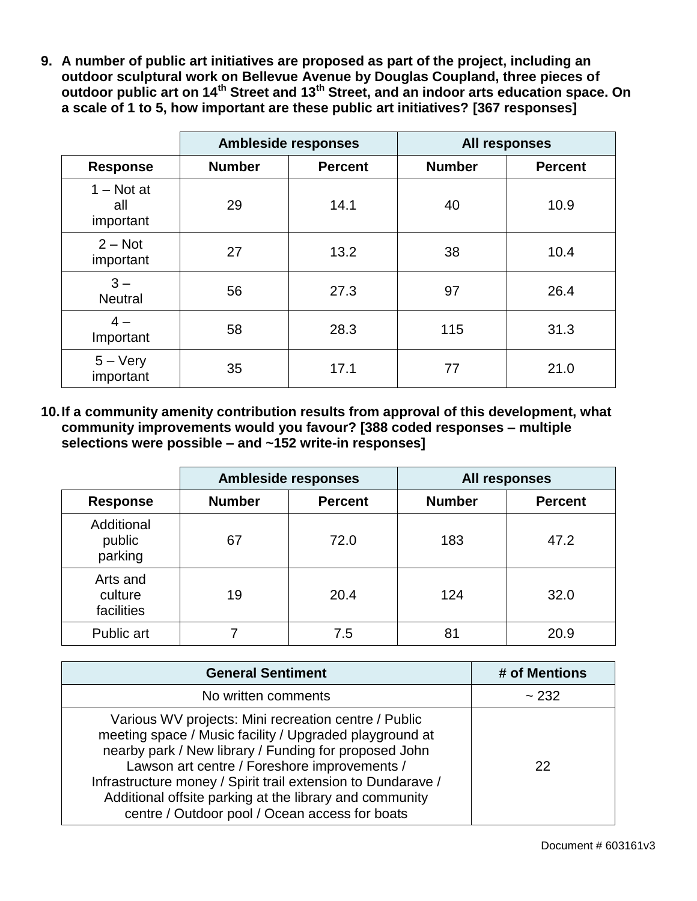**9. A number of public art initiatives are proposed as part of the project, including an outdoor sculptural work on Bellevue Avenue by Douglas Coupland, three pieces of outdoor public art on 14th Street and 13th Street, and an indoor arts education space. On a scale of 1 to 5, how important are these public art initiatives? [367 responses]**

|                                  |               | <b>Ambleside responses</b> |               | All responses  |
|----------------------------------|---------------|----------------------------|---------------|----------------|
| <b>Response</b>                  | <b>Number</b> | <b>Percent</b>             | <b>Number</b> | <b>Percent</b> |
| $1 - Not$ at<br>all<br>important | 29            | 14.1                       | 40            | 10.9           |
| $2 - Not$<br>important           | 27            | 13.2                       | 38            | 10.4           |
| $3 -$<br><b>Neutral</b>          | 56            | 27.3                       | 97            | 26.4           |
| $4-$<br>Important                | 58            | 28.3                       | 115           | 31.3           |
| $5 - \text{Very}$<br>important   | 35            | 17.1                       | 77            | 21.0           |

**10.If a community amenity contribution results from approval of this development, what community improvements would you favour? [388 coded responses – multiple selections were possible – and ~152 write-in responses]**

|                                   | <b>Ambleside responses</b> |                |               | All responses  |
|-----------------------------------|----------------------------|----------------|---------------|----------------|
| <b>Response</b>                   | <b>Number</b>              | <b>Percent</b> | <b>Number</b> | <b>Percent</b> |
| Additional<br>public<br>parking   | 67                         | 72.0           | 183           | 47.2           |
| Arts and<br>culture<br>facilities | 19                         | 20.4           | 124           | 32.0           |
| Public art                        |                            | 7.5            | 81            | 20.9           |

| <b>General Sentiment</b>                                                                                                                                                                                                                                                                                                                                                                              | # of Mentions |
|-------------------------------------------------------------------------------------------------------------------------------------------------------------------------------------------------------------------------------------------------------------------------------------------------------------------------------------------------------------------------------------------------------|---------------|
| No written comments                                                                                                                                                                                                                                                                                                                                                                                   | ~232          |
| Various WV projects: Mini recreation centre / Public<br>meeting space / Music facility / Upgraded playground at<br>nearby park / New library / Funding for proposed John<br>Lawson art centre / Foreshore improvements /<br>Infrastructure money / Spirit trail extension to Dundarave /<br>Additional offsite parking at the library and community<br>centre / Outdoor pool / Ocean access for boats | 22            |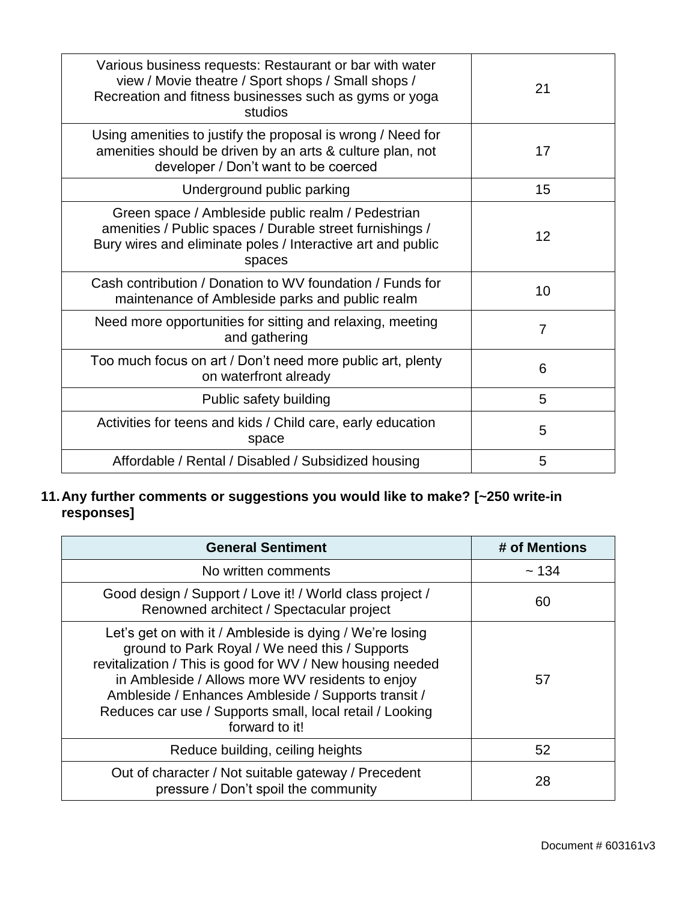| Various business requests: Restaurant or bar with water<br>view / Movie theatre / Sport shops / Small shops /<br>Recreation and fitness businesses such as gyms or yoga<br>studios     | 21                |
|----------------------------------------------------------------------------------------------------------------------------------------------------------------------------------------|-------------------|
| Using amenities to justify the proposal is wrong / Need for<br>amenities should be driven by an arts & culture plan, not<br>developer / Don't want to be coerced                       | 17                |
| Underground public parking                                                                                                                                                             | 15                |
| Green space / Ambleside public realm / Pedestrian<br>amenities / Public spaces / Durable street furnishings /<br>Bury wires and eliminate poles / Interactive art and public<br>spaces | $12 \overline{ }$ |
| Cash contribution / Donation to WV foundation / Funds for<br>maintenance of Ambleside parks and public realm                                                                           | 10                |
| Need more opportunities for sitting and relaxing, meeting<br>and gathering                                                                                                             | 7                 |
| Too much focus on art / Don't need more public art, plenty<br>on waterfront already                                                                                                    | 6                 |
| Public safety building                                                                                                                                                                 | 5                 |
| Activities for teens and kids / Child care, early education<br>space                                                                                                                   | 5                 |
| Affordable / Rental / Disabled / Subsidized housing                                                                                                                                    | 5                 |

#### **11.Any further comments or suggestions you would like to make? [~250 write-in responses]**

| <b>General Sentiment</b>                                                                                                                                                                                                                                                                                                                                         | # of Mentions |
|------------------------------------------------------------------------------------------------------------------------------------------------------------------------------------------------------------------------------------------------------------------------------------------------------------------------------------------------------------------|---------------|
| No written comments                                                                                                                                                                                                                                                                                                                                              | ~134          |
| Good design / Support / Love it! / World class project /<br>Renowned architect / Spectacular project                                                                                                                                                                                                                                                             | 60            |
| Let's get on with it / Ambleside is dying / We're losing<br>ground to Park Royal / We need this / Supports<br>revitalization / This is good for WV / New housing needed<br>in Ambleside / Allows more WV residents to enjoy<br>Ambleside / Enhances Ambleside / Supports transit /<br>Reduces car use / Supports small, local retail / Looking<br>forward to it! | 57            |
| Reduce building, ceiling heights                                                                                                                                                                                                                                                                                                                                 | 52            |
| Out of character / Not suitable gateway / Precedent<br>pressure / Don't spoil the community                                                                                                                                                                                                                                                                      | 28            |